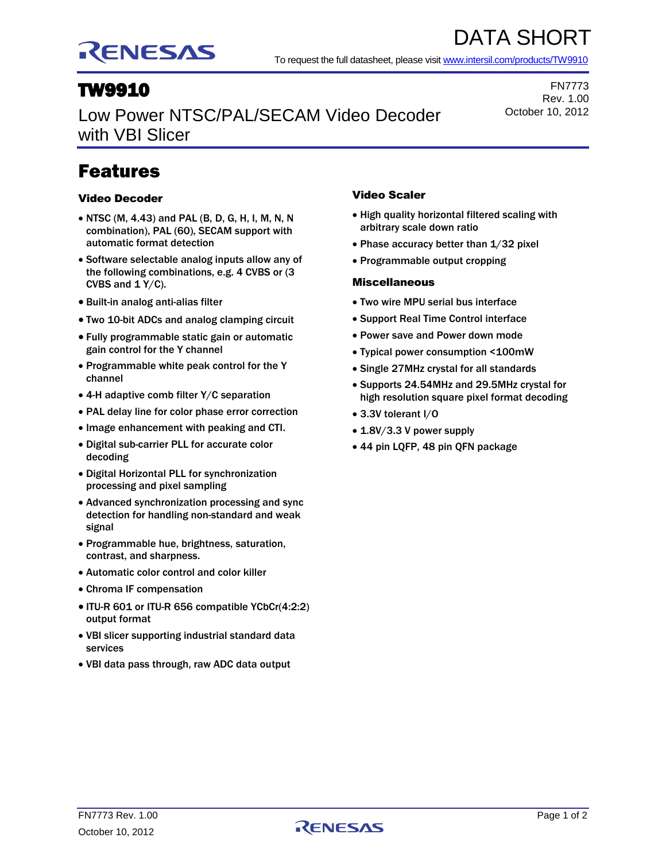

# ATA SHORT

FN7773 Rev. 1.00

October 10, 2012

To request the full datasheet, please visi[t www.intersil.com/products/TW9910](http://www.intersil.com/products/TW9910)

# TW9910

Low Power NTSC/PAL/SECAM Video Decoder with VBI Slicer

Features

### Video Decoder

- NTSC (M, 4.43) and PAL (B, D, G, H, I, M, N, N combination), PAL (60), SECAM support with automatic format detection
- Software selectable analog inputs allow any of the following combinations, e.g. 4 CVBS or (3 CVBS and  $1 \text{ Y/C}$ ).
- Built-in analog anti-alias filter
- Two 10-bit ADCs and analog clamping circuit
- Fully programmable static gain or automatic gain control for the Y channel
- Programmable white peak control for the Y channel
- 4-H adaptive comb filter Y/C separation
- PAL delay line for color phase error correction
- Image enhancement with peaking and CTI.
- Digital sub-carrier PLL for accurate color decoding
- Digital Horizontal PLL for synchronization processing and pixel sampling
- Advanced synchronization processing and sync detection for handling non-standard and weak signal
- Programmable hue, brightness, saturation, contrast, and sharpness.
- Automatic color control and color killer
- Chroma IF compensation
- ITU-R 601 or ITU-R 656 compatible YCbCr(4:2:2) output format
- VBI slicer supporting industrial standard data services
- VBI data pass through, raw ADC data output

### Video Scaler

- High quality horizontal filtered scaling with arbitrary scale down ratio
- Phase accuracy better than 1/32 pixel
- Programmable output cropping

#### **Miscellaneous**

- Two wire MPU serial bus interface
- Support Real Time Control interface
- Power save and Power down mode
- Typical power consumption <100mW
- Single 27MHz crystal for all standards
- Supports 24.54MHz and 29.5MHz crystal for high resolution square pixel format decoding
- 3.3V tolerant I/O
- 1.8V/3.3 V power supply
- 44 pin LQFP, 48 pin QFN package